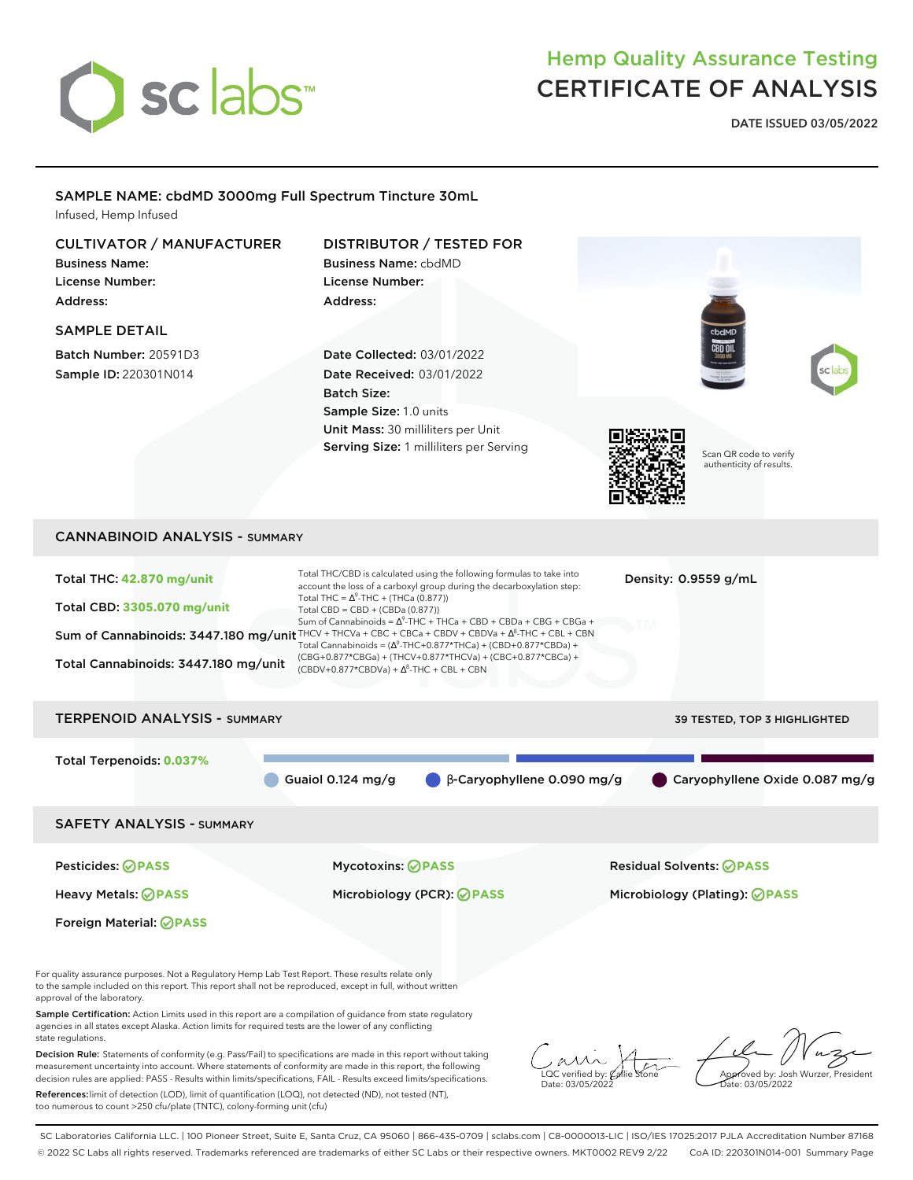

too numerous to count >250 cfu/plate (TNTC), colony-forming unit (cfu)

# Hemp Quality Assurance Testing CERTIFICATE OF ANALYSIS

**DATE ISSUED 03/05/2022**

| SAMPLE NAME: cbdMD 3000mg Full Spectrum Tincture 30mL<br>Infused, Hemp Infused                                                                                                                                                                                                                                                                                                                                                                                           |                                                                                                                                                                                                                                                                                                                                                                                                                                                                                                                                                                                                                   |                                                                             |
|--------------------------------------------------------------------------------------------------------------------------------------------------------------------------------------------------------------------------------------------------------------------------------------------------------------------------------------------------------------------------------------------------------------------------------------------------------------------------|-------------------------------------------------------------------------------------------------------------------------------------------------------------------------------------------------------------------------------------------------------------------------------------------------------------------------------------------------------------------------------------------------------------------------------------------------------------------------------------------------------------------------------------------------------------------------------------------------------------------|-----------------------------------------------------------------------------|
| <b>CULTIVATOR / MANUFACTURER</b><br><b>Business Name:</b><br><b>License Number:</b><br>Address:<br><b>SAMPLE DETAIL</b><br>Batch Number: 20591D3<br>Sample ID: 220301N014                                                                                                                                                                                                                                                                                                | DISTRIBUTOR / TESTED FOR<br><b>Business Name: cbdMD</b><br>License Number:<br>Address:<br>Date Collected: 03/01/2022<br>Date Received: 03/01/2022<br><b>Batch Size:</b><br>Sample Size: 1.0 units<br>Unit Mass: 30 milliliters per Unit<br>Serving Size: 1 milliliters per Serving                                                                                                                                                                                                                                                                                                                                | cbdMD<br>Scan QR code to verify<br>authenticity of results.                 |
|                                                                                                                                                                                                                                                                                                                                                                                                                                                                          |                                                                                                                                                                                                                                                                                                                                                                                                                                                                                                                                                                                                                   |                                                                             |
| <b>CANNABINOID ANALYSIS - SUMMARY</b>                                                                                                                                                                                                                                                                                                                                                                                                                                    |                                                                                                                                                                                                                                                                                                                                                                                                                                                                                                                                                                                                                   |                                                                             |
| Total THC: 42.870 mg/unit<br><b>Total CBD: 3305.070 mg/unit</b><br>Total Cannabinoids: 3447.180 mg/unit                                                                                                                                                                                                                                                                                                                                                                  | Total THC/CBD is calculated using the following formulas to take into<br>account the loss of a carboxyl group during the decarboxylation step:<br>Total THC = $\Delta^9$ -THC + (THCa (0.877))<br>Total CBD = CBD + (CBDa (0.877))<br>Sum of Cannabinoids = $\Delta^9$ -THC + THCa + CBD + CBDa + CBG + CBGa +<br>Sum of Cannabinoids: 3447.180 mg/unit THCV + THCVa + CBC + CBCa + CBDV + CBDVa + A8-THC + CBL + CBN<br>Total Cannabinoids = $(\Delta^9$ -THC+0.877*THCa) + (CBD+0.877*CBDa) +<br>(CBG+0.877*CBGa) + (THCV+0.877*THCVa) + (CBC+0.877*CBCa) +<br>$(CBDV+0.877*CBDVa) + \Delta^8$ -THC + CBL + CBN | Density: 0.9559 g/mL                                                        |
| <b>TERPENOID ANALYSIS - SUMMARY</b>                                                                                                                                                                                                                                                                                                                                                                                                                                      |                                                                                                                                                                                                                                                                                                                                                                                                                                                                                                                                                                                                                   | 39 TESTED, TOP 3 HIGHLIGHTED                                                |
| Total Terpenoids: 0.037%                                                                                                                                                                                                                                                                                                                                                                                                                                                 | Guaiol 0.124 mg/g<br>β-Caryophyllene 0.090 mg/g                                                                                                                                                                                                                                                                                                                                                                                                                                                                                                                                                                   | Caryophyllene Oxide 0.087 mg/g                                              |
| <b>SAFETY ANALYSIS - SUMMARY</b>                                                                                                                                                                                                                                                                                                                                                                                                                                         |                                                                                                                                                                                                                                                                                                                                                                                                                                                                                                                                                                                                                   |                                                                             |
| Pesticides: ⊘ PASS                                                                                                                                                                                                                                                                                                                                                                                                                                                       | <b>Mycotoxins: ⊘PASS</b>                                                                                                                                                                                                                                                                                                                                                                                                                                                                                                                                                                                          | <b>Residual Solvents: ØPASS</b>                                             |
| <b>Heavy Metals: ⊘ PASS</b>                                                                                                                                                                                                                                                                                                                                                                                                                                              | Microbiology (PCR): ⊘ PASS                                                                                                                                                                                                                                                                                                                                                                                                                                                                                                                                                                                        | Microbiology (Plating): <b>⊘ PASS</b>                                       |
| Foreign Material: <b>OPASS</b>                                                                                                                                                                                                                                                                                                                                                                                                                                           |                                                                                                                                                                                                                                                                                                                                                                                                                                                                                                                                                                                                                   |                                                                             |
| For quality assurance purposes. Not a Regulatory Hemp Lab Test Report. These results relate only<br>to the sample included on this report. This report shall not be reproduced, except in full, without written<br>approval of the laboratory.<br>Sample Certification: Action Limits used in this report are a compilation of quidance from state regulatory<br>agencies in all states except Alaska. Action limits for required tests are the lower of any conflicting |                                                                                                                                                                                                                                                                                                                                                                                                                                                                                                                                                                                                                   |                                                                             |
| state regulations.<br>Decision Rule: Statements of conformity (e.g. Pass/Fail) to specifications are made in this report without taking<br>measurement uncertainty into account. Where statements of conformity are made in this report, the following<br>decision rules are applied: PASS - Results within limits/specifications, FAIL - Results exceed limits/specifications.                                                                                          |                                                                                                                                                                                                                                                                                                                                                                                                                                                                                                                                                                                                                   | .QC verified by:<br>Approved by: Josh Wurzer, President<br>Date: 03/05/2022 |
| References: limit of detection (LOD), limit of quantification (LOQ), not detected (ND), not tested (NT),                                                                                                                                                                                                                                                                                                                                                                 |                                                                                                                                                                                                                                                                                                                                                                                                                                                                                                                                                                                                                   |                                                                             |

SC Laboratories California LLC. | 100 Pioneer Street, Suite E, Santa Cruz, CA 95060 | 866-435-0709 | sclabs.com | C8-0000013-LIC | ISO/IES 17025:2017 PJLA Accreditation Number 87168 © 2022 SC Labs all rights reserved. Trademarks referenced are trademarks of either SC Labs or their respective owners. MKT0002 REV9 2/22 CoA ID: 220301N014-001 Summary Page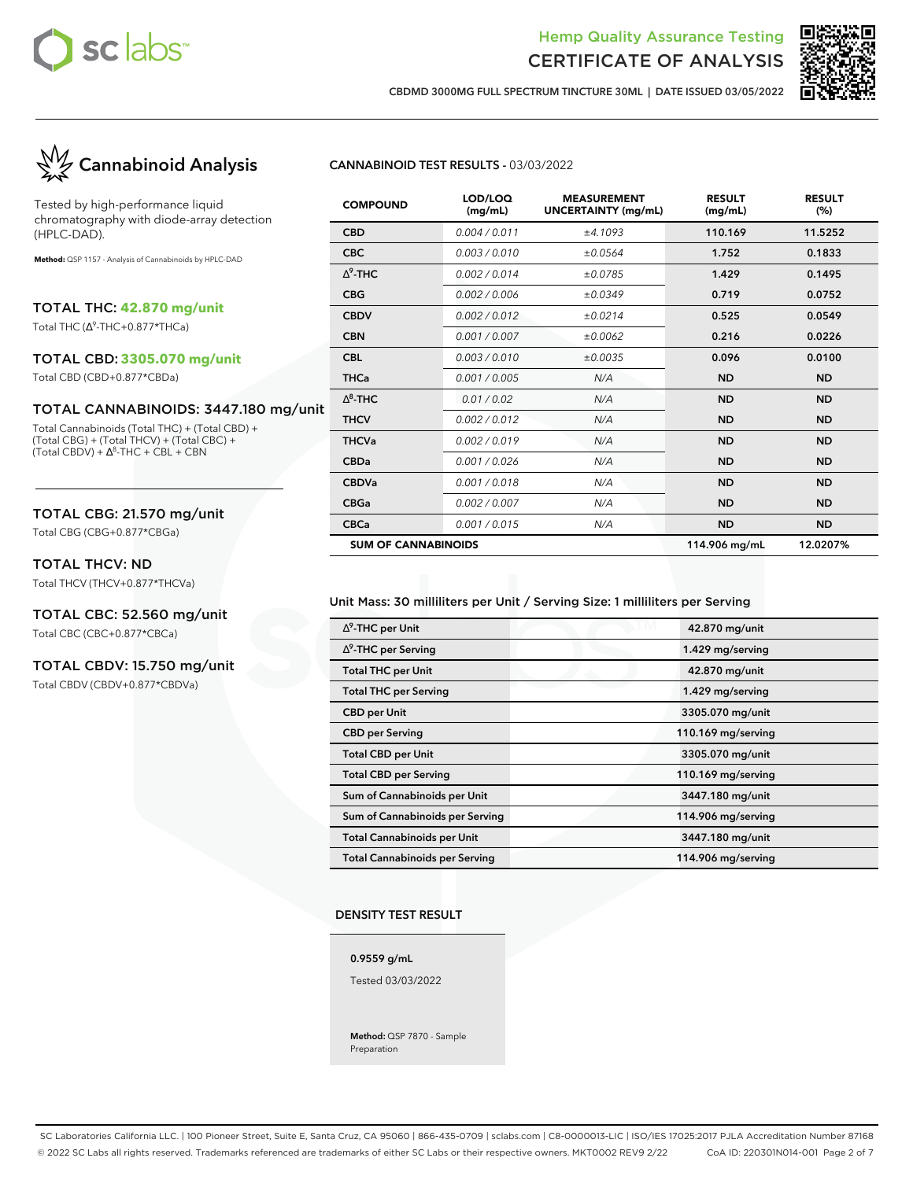



**CBDMD 3000MG FULL SPECTRUM TINCTURE 30ML | DATE ISSUED 03/05/2022**

# **Cannabinoid Analysis**

Tested by high-performance liquid chromatography with diode-array detection (HPLC-DAD).

**Method:** QSP 1157 - Analysis of Cannabinoids by HPLC-DAD

TOTAL THC: **42.870 mg/unit**

Total THC (∆ 9 -THC+0.877\*THCa)

#### TOTAL CBD: **3305.070 mg/unit**

Total CBD (CBD+0.877\*CBDa)

#### TOTAL CANNABINOIDS: 3447.180 mg/unit

Total Cannabinoids (Total THC) + (Total CBD) + (Total CBG) + (Total THCV) + (Total CBC) +  $(Total CBDV) + \Delta^{8}$ -THC + CBL + CBN

#### TOTAL CBG: 21.570 mg/unit

Total CBG (CBG+0.877\*CBGa)

#### TOTAL THCV: ND

Total THCV (THCV+0.877\*THCVa)

#### TOTAL CBC: 52.560 mg/unit

Total CBC (CBC+0.877\*CBCa)

#### TOTAL CBDV: 15.750 mg/unit

Total CBDV (CBDV+0.877\*CBDVa)

#### **CANNABINOID TEST RESULTS -** 03/03/2022

| <b>COMPOUND</b>            | LOD/LOQ<br>(mg/mL) | <b>MEASUREMENT</b><br><b>UNCERTAINTY (mg/mL)</b> | <b>RESULT</b><br>(mg/mL) | <b>RESULT</b><br>(%) |
|----------------------------|--------------------|--------------------------------------------------|--------------------------|----------------------|
| <b>CBD</b>                 | 0.004 / 0.011      | ±4.1093                                          | 110.169                  | 11.5252              |
| <b>CBC</b>                 | 0.003/0.010        | ±0.0564                                          | 1.752                    | 0.1833               |
| $\Lambda^9$ -THC           | 0.002/0.014        | ±0.0785                                          | 1.429                    | 0.1495               |
| <b>CBG</b>                 | 0.002/0.006        | ±0.0349                                          | 0.719                    | 0.0752               |
| <b>CBDV</b>                | 0.002/0.012        | ±0.0214                                          | 0.525                    | 0.0549               |
| <b>CBN</b>                 | 0.001 / 0.007      | ±0.0062                                          | 0.216                    | 0.0226               |
| <b>CBL</b>                 | 0.003/0.010        | ±0.0035                                          | 0.096                    | 0.0100               |
| <b>THCa</b>                | 0.001 / 0.005      | N/A                                              | <b>ND</b>                | <b>ND</b>            |
| $\Delta^8$ -THC            | 0.01 / 0.02        | N/A                                              | <b>ND</b>                | <b>ND</b>            |
| <b>THCV</b>                | 0.002/0.012        | N/A                                              | <b>ND</b>                | <b>ND</b>            |
| <b>THCVa</b>               | 0.002/0.019        | N/A                                              | <b>ND</b>                | <b>ND</b>            |
| <b>CBDa</b>                | 0.001 / 0.026      | N/A                                              | <b>ND</b>                | <b>ND</b>            |
| <b>CBDVa</b>               | 0.001 / 0.018      | N/A                                              | <b>ND</b>                | <b>ND</b>            |
| <b>CBGa</b>                | 0.002 / 0.007      | N/A                                              | <b>ND</b>                | <b>ND</b>            |
| <b>CBCa</b>                | 0.001/0.015        | N/A                                              | <b>ND</b>                | <b>ND</b>            |
| <b>SUM OF CANNABINOIDS</b> |                    |                                                  | 114.906 mg/mL            | 12.0207%             |

#### Unit Mass: 30 milliliters per Unit / Serving Size: 1 milliliters per Serving

| $\Delta^9$ -THC per Unit              | 42.870 mg/unit     |  |
|---------------------------------------|--------------------|--|
| $\Delta^9$ -THC per Serving           | 1.429 mg/serving   |  |
| <b>Total THC per Unit</b>             | 42.870 mg/unit     |  |
| <b>Total THC per Serving</b>          | 1.429 mg/serving   |  |
| <b>CBD</b> per Unit                   | 3305.070 mg/unit   |  |
| <b>CBD per Serving</b>                | 110.169 mg/serving |  |
| <b>Total CBD per Unit</b>             | 3305.070 mg/unit   |  |
| <b>Total CBD per Serving</b>          | 110.169 mg/serving |  |
| Sum of Cannabinoids per Unit          | 3447.180 mg/unit   |  |
| Sum of Cannabinoids per Serving       | 114.906 mg/serving |  |
| <b>Total Cannabinoids per Unit</b>    | 3447.180 mg/unit   |  |
| <b>Total Cannabinoids per Serving</b> | 114.906 mg/serving |  |

#### **DENSITY TEST RESULT**

**0.9559 g/mL**

Tested 03/03/2022

**Method:** QSP 7870 - Sample Preparation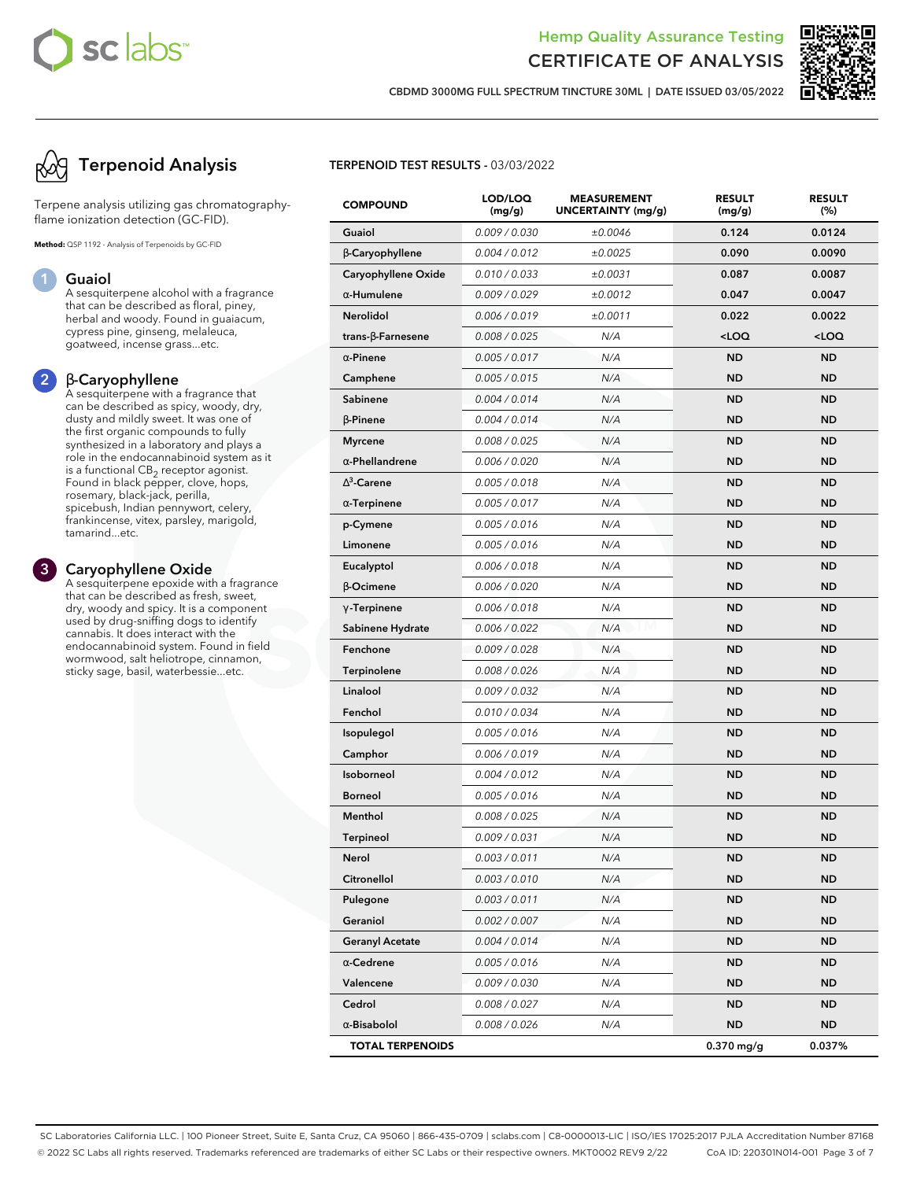

**CBDMD 3000MG FULL SPECTRUM TINCTURE 30ML | DATE ISSUED 03/05/2022**

# **Terpenoid Analysis**

Terpene analysis utilizing gas chromatographyflame ionization detection (GC-FID).

**Method:** QSP 1192 - Analysis of Terpenoids by GC-FID

#### **1 Guaiol**

A sesquiterpene alcohol with a fragrance that can be described as floral, piney, herbal and woody. Found in guaiacum, cypress pine, ginseng, melaleuca, goatweed, incense grass...etc.

#### **2** β**-Caryophyllene**

A sesquiterpene with a fragrance that can be described as spicy, woody, dry, dusty and mildly sweet. It was one of the first organic compounds to fully synthesized in a laboratory and plays a role in the endocannabinoid system as it is a functional  $\mathsf{CB}_2$  receptor agonist. Found in black pepper, clove, hops, rosemary, black-jack, perilla, spicebush, Indian pennywort, celery, frankincense, vitex, parsley, marigold, tamarind...etc.

#### **3 Caryophyllene Oxide**

A sesquiterpene epoxide with a fragrance that can be described as fresh, sweet, dry, woody and spicy. It is a component used by drug-sniffing dogs to identify cannabis. It does interact with the endocannabinoid system. Found in field wormwood, salt heliotrope, cinnamon, sticky sage, basil, waterbessie...etc.

#### **TERPENOID TEST RESULTS -** 03/03/2022

| <b>COMPOUND</b>         | LOD/LOQ<br>(mg/g) | <b>MEASUREMENT</b><br>UNCERTAINTY (mg/g) | <b>RESULT</b><br>(mg/g)                         | <b>RESULT</b><br>(%) |
|-------------------------|-------------------|------------------------------------------|-------------------------------------------------|----------------------|
| Guaiol                  | 0.009 / 0.030     | ±0.0046                                  | 0.124                                           | 0.0124               |
| $\beta$ -Caryophyllene  | 0.004 / 0.012     | ±0.0025                                  | 0.090                                           | 0.0090               |
| Caryophyllene Oxide     | 0.010 / 0.033     | ±0.0031                                  | 0.087                                           | 0.0087               |
| $\alpha$ -Humulene      | 0.009/0.029       | ±0.0012                                  | 0.047                                           | 0.0047               |
| <b>Nerolidol</b>        | 0.006 / 0.019     | ±0.0011                                  | 0.022                                           | 0.0022               |
| trans-ß-Farnesene       | 0.008 / 0.025     | N/A                                      | <loq< th=""><th><loq< th=""></loq<></th></loq<> | <loq< th=""></loq<>  |
| $\alpha$ -Pinene        | 0.005 / 0.017     | N/A                                      | <b>ND</b>                                       | <b>ND</b>            |
| Camphene                | 0.005 / 0.015     | N/A                                      | <b>ND</b>                                       | <b>ND</b>            |
| Sabinene                | 0.004 / 0.014     | N/A                                      | <b>ND</b>                                       | <b>ND</b>            |
| $\beta$ -Pinene         | 0.004 / 0.014     | N/A                                      | <b>ND</b>                                       | <b>ND</b>            |
| <b>Myrcene</b>          | 0.008 / 0.025     | N/A                                      | <b>ND</b>                                       | <b>ND</b>            |
| $\alpha$ -Phellandrene  | 0.006 / 0.020     | N/A                                      | <b>ND</b>                                       | ND.                  |
| $\Lambda^3$ -Carene     | 0.005 / 0.018     | N/A                                      | <b>ND</b>                                       | <b>ND</b>            |
| $\alpha$ -Terpinene     | 0.005 / 0.017     | N/A                                      | <b>ND</b>                                       | <b>ND</b>            |
| p-Cymene                | 0.005 / 0.016     | N/A                                      | <b>ND</b>                                       | <b>ND</b>            |
| Limonene                | 0.005 / 0.016     | N/A                                      | <b>ND</b>                                       | <b>ND</b>            |
| Eucalyptol              | 0.006 / 0.018     | N/A                                      | <b>ND</b>                                       | <b>ND</b>            |
| $\beta$ -Ocimene        | 0.006 / 0.020     | N/A                                      | <b>ND</b>                                       | ND.                  |
| $\gamma$ -Terpinene     | 0.006 / 0.018     | N/A                                      | <b>ND</b>                                       | <b>ND</b>            |
| Sabinene Hydrate        | 0.006 / 0.022     | N/A                                      | <b>ND</b>                                       | <b>ND</b>            |
| Fenchone                | 0.009 / 0.028     | N/A                                      | <b>ND</b>                                       | <b>ND</b>            |
| <b>Terpinolene</b>      | 0.008 / 0.026     | N/A                                      | <b>ND</b>                                       | <b>ND</b>            |
| Linalool                | 0.009 / 0.032     | N/A                                      | <b>ND</b>                                       | <b>ND</b>            |
| Fenchol                 | 0.010 / 0.034     | N/A                                      | <b>ND</b>                                       | ND.                  |
| <b>Isopulegol</b>       | 0.005 / 0.016     | N/A                                      | <b>ND</b>                                       | <b>ND</b>            |
| Camphor                 | 0.006 / 0.019     | N/A                                      | <b>ND</b>                                       | <b>ND</b>            |
| Isoborneol              | 0.004 / 0.012     | N/A                                      | <b>ND</b>                                       | <b>ND</b>            |
| <b>Borneol</b>          | 0.005 / 0.016     | N/A                                      | <b>ND</b>                                       | <b>ND</b>            |
| Menthol                 | 0.008 / 0.025     | N/A                                      | <b>ND</b>                                       | <b>ND</b>            |
| <b>Terpineol</b>        | 0.009 / 0.031     | N/A                                      | <b>ND</b>                                       | ND                   |
| Nerol                   | 0.003 / 0.011     | N/A                                      | <b>ND</b>                                       | ND                   |
| Citronellol             | 0.003 / 0.010     | N/A                                      | <b>ND</b>                                       | <b>ND</b>            |
| Pulegone                | 0.003 / 0.011     | N/A                                      | <b>ND</b>                                       | ND                   |
| Geraniol                | 0.002 / 0.007     | N/A                                      | <b>ND</b>                                       | <b>ND</b>            |
| <b>Geranyl Acetate</b>  | 0.004 / 0.014     | N/A                                      | <b>ND</b>                                       | <b>ND</b>            |
| $\alpha$ -Cedrene       | 0.005 / 0.016     | N/A                                      | <b>ND</b>                                       | ND                   |
| Valencene               | 0.009 / 0.030     | N/A                                      | <b>ND</b>                                       | <b>ND</b>            |
| Cedrol                  | 0.008 / 0.027     | N/A                                      | <b>ND</b>                                       | ND                   |
| $\alpha$ -Bisabolol     | 0.008 / 0.026     | N/A                                      | <b>ND</b>                                       | ND                   |
| <b>TOTAL TERPENOIDS</b> |                   |                                          | $0.370$ mg/g                                    | 0.037%               |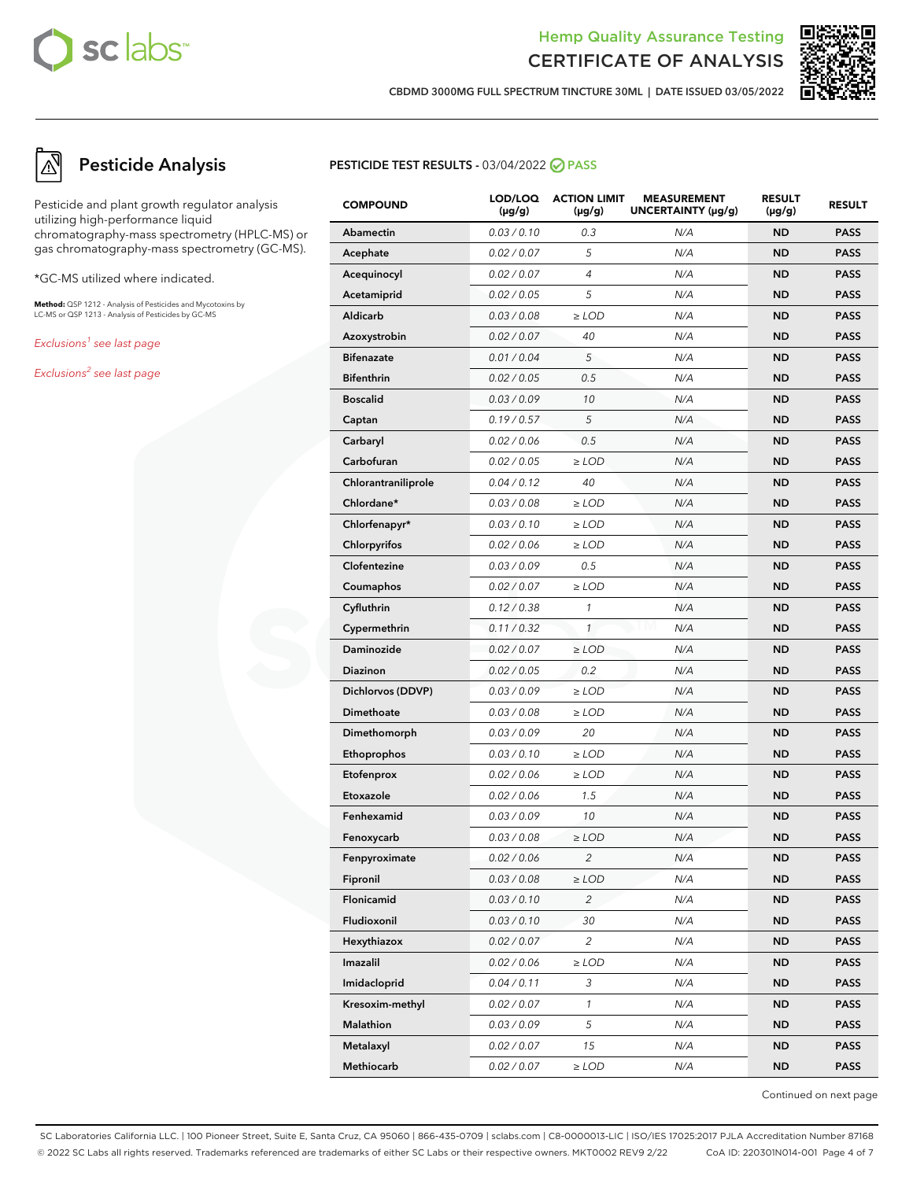



**CBDMD 3000MG FULL SPECTRUM TINCTURE 30ML | DATE ISSUED 03/05/2022**

# **Pesticide Analysis**

Pesticide and plant growth regulator analysis utilizing high-performance liquid chromatography-mass spectrometry (HPLC-MS) or gas chromatography-mass spectrometry (GC-MS).

\*GC-MS utilized where indicated.

**Method:** QSP 1212 - Analysis of Pesticides and Mycotoxins by LC-MS or QSP 1213 - Analysis of Pesticides by GC-MS

Exclusions<sup>1</sup> see last page

Exclusions<sup>2</sup> see last page

#### **PESTICIDE TEST RESULTS - 03/04/2022 ⊘ PASS**

| <b>COMPOUND</b>     | LOD/LOQ<br>$(\mu g/g)$ | <b>ACTION LIMIT</b><br>$(\mu g/g)$ | <b>MEASUREMENT</b><br>UNCERTAINTY (µg/g) | <b>RESULT</b><br>(µg/g) | <b>RESULT</b> |
|---------------------|------------------------|------------------------------------|------------------------------------------|-------------------------|---------------|
| Abamectin           | 0.03 / 0.10            | 0.3                                | N/A                                      | <b>ND</b>               | <b>PASS</b>   |
| Acephate            | 0.02 / 0.07            | 5                                  | N/A                                      | <b>ND</b>               | <b>PASS</b>   |
| Acequinocyl         | 0.02 / 0.07            | 4                                  | N/A                                      | <b>ND</b>               | <b>PASS</b>   |
| Acetamiprid         | 0.02 / 0.05            | 5                                  | N/A                                      | <b>ND</b>               | <b>PASS</b>   |
| Aldicarb            | 0.03 / 0.08            | $\geq$ LOD                         | N/A                                      | <b>ND</b>               | <b>PASS</b>   |
| Azoxystrobin        | 0.02 / 0.07            | 40                                 | N/A                                      | <b>ND</b>               | <b>PASS</b>   |
| <b>Bifenazate</b>   | 0.01 / 0.04            | 5                                  | N/A                                      | <b>ND</b>               | <b>PASS</b>   |
| <b>Bifenthrin</b>   | 0.02 / 0.05            | 0.5                                | N/A                                      | <b>ND</b>               | <b>PASS</b>   |
| <b>Boscalid</b>     | 0.03 / 0.09            | 10                                 | N/A                                      | <b>ND</b>               | <b>PASS</b>   |
| Captan              | 0.19/0.57              | 5                                  | N/A                                      | <b>ND</b>               | <b>PASS</b>   |
| Carbaryl            | 0.02 / 0.06            | 0.5                                | N/A                                      | <b>ND</b>               | <b>PASS</b>   |
| Carbofuran          | 0.02 / 0.05            | $\geq$ LOD                         | N/A                                      | <b>ND</b>               | <b>PASS</b>   |
| Chlorantraniliprole | 0.04 / 0.12            | 40                                 | N/A                                      | <b>ND</b>               | <b>PASS</b>   |
| Chlordane*          | 0.03 / 0.08            | $\geq$ LOD                         | N/A                                      | <b>ND</b>               | <b>PASS</b>   |
| Chlorfenapyr*       | 0.03 / 0.10            | ≥LOD                               | N/A                                      | <b>ND</b>               | <b>PASS</b>   |
| Chlorpyrifos        | 0.02 / 0.06            | $\geq$ LOD                         | N/A                                      | <b>ND</b>               | <b>PASS</b>   |
| Clofentezine        | 0.03 / 0.09            | 0.5                                | N/A                                      | <b>ND</b>               | <b>PASS</b>   |
| Coumaphos           | 0.02 / 0.07            | $\geq$ LOD                         | N/A                                      | <b>ND</b>               | <b>PASS</b>   |
| Cyfluthrin          | 0.12 / 0.38            | $\mathcal{I}$                      | N/A                                      | <b>ND</b>               | <b>PASS</b>   |
| Cypermethrin        | 0.11 / 0.32            | $\mathcal{I}$                      | N/A                                      | <b>ND</b>               | <b>PASS</b>   |
| <b>Daminozide</b>   | 0.02 / 0.07            | $\geq$ LOD                         | N/A                                      | <b>ND</b>               | <b>PASS</b>   |
| Diazinon            | 0.02 / 0.05            | 0.2                                | N/A                                      | <b>ND</b>               | <b>PASS</b>   |
| Dichlorvos (DDVP)   | 0.03 / 0.09            | $\geq$ LOD                         | N/A                                      | <b>ND</b>               | <b>PASS</b>   |
| Dimethoate          | 0.03 / 0.08            | $\geq$ LOD                         | N/A                                      | <b>ND</b>               | <b>PASS</b>   |
| Dimethomorph        | 0.03 / 0.09            | 20                                 | N/A                                      | <b>ND</b>               | <b>PASS</b>   |
| Ethoprophos         | 0.03 / 0.10            | $\geq$ LOD                         | N/A                                      | <b>ND</b>               | <b>PASS</b>   |
| Etofenprox          | 0.02 / 0.06            | ≥LOD                               | N/A                                      | <b>ND</b>               | <b>PASS</b>   |
| Etoxazole           | 0.02 / 0.06            | 1.5                                | N/A                                      | <b>ND</b>               | <b>PASS</b>   |
| Fenhexamid          | 0.03 / 0.09            | 10                                 | N/A                                      | <b>ND</b>               | <b>PASS</b>   |
| Fenoxycarb          | 0.03 / 0.08            | ≥LOD                               | N/A                                      | <b>ND</b>               | <b>PASS</b>   |
| Fenpyroximate       | 0.02 / 0.06            | $\overline{c}$                     | N/A                                      | <b>ND</b>               | <b>PASS</b>   |
| Fipronil            | 0.03 / 0.08            | $\geq$ LOD                         | N/A                                      | ND                      | <b>PASS</b>   |
| Flonicamid          | 0.03 / 0.10            | $\overline{c}$                     | N/A                                      | <b>ND</b>               | <b>PASS</b>   |
| Fludioxonil         | 0.03 / 0.10            | 30                                 | N/A                                      | <b>ND</b>               | <b>PASS</b>   |
| Hexythiazox         | 0.02 / 0.07            | 2                                  | N/A                                      | <b>ND</b>               | <b>PASS</b>   |
| Imazalil            | 0.02 / 0.06            | $\geq$ LOD                         | N/A                                      | <b>ND</b>               | <b>PASS</b>   |
| Imidacloprid        | 0.04 / 0.11            | 3                                  | N/A                                      | <b>ND</b>               | <b>PASS</b>   |
| Kresoxim-methyl     | 0.02 / 0.07            | $\mathbf{1}$                       | N/A                                      | <b>ND</b>               | <b>PASS</b>   |
| Malathion           | 0.03 / 0.09            | 5                                  | N/A                                      | <b>ND</b>               | <b>PASS</b>   |
| Metalaxyl           | 0.02 / 0.07            | 15                                 | N/A                                      | <b>ND</b>               | <b>PASS</b>   |
| Methiocarb          | 0.02 / 0.07            | $\geq$ LOD                         | N/A                                      | <b>ND</b>               | <b>PASS</b>   |

Continued on next page

SC Laboratories California LLC. | 100 Pioneer Street, Suite E, Santa Cruz, CA 95060 | 866-435-0709 | sclabs.com | C8-0000013-LIC | ISO/IES 17025:2017 PJLA Accreditation Number 87168 © 2022 SC Labs all rights reserved. Trademarks referenced are trademarks of either SC Labs or their respective owners. MKT0002 REV9 2/22 CoA ID: 220301N014-001 Page 4 of 7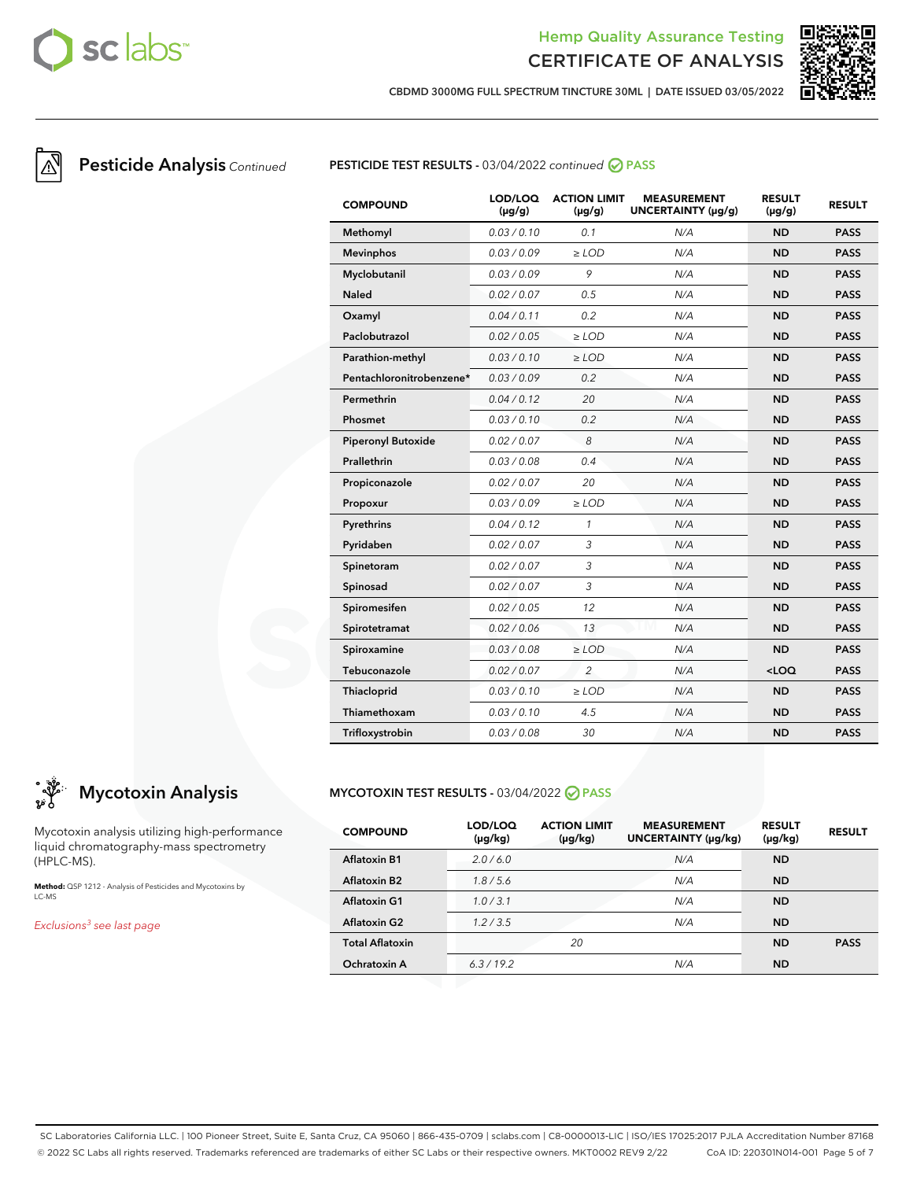



**CBDMD 3000MG FULL SPECTRUM TINCTURE 30ML | DATE ISSUED 03/05/2022**

## **Pesticide Analysis** Continued **PESTICIDE TEST RESULTS -** 03/04/2022 continued **⊘** PASS

| <b>COMPOUND</b>           | LOD/LOQ<br>$(\mu g/g)$ | <b>ACTION LIMIT</b><br>$(\mu q/q)$ | <b>MEASUREMENT</b><br>UNCERTAINTY (µg/g) | <b>RESULT</b><br>$(\mu g/g)$ | <b>RESULT</b> |
|---------------------------|------------------------|------------------------------------|------------------------------------------|------------------------------|---------------|
| Methomyl                  | 0.03/0.10              | 0.1                                | N/A                                      | <b>ND</b>                    | <b>PASS</b>   |
| <b>Mevinphos</b>          | 0.03/0.09              | $\ge$ LOD                          | N/A                                      | <b>ND</b>                    | <b>PASS</b>   |
| Myclobutanil              | 0.03/0.09              | 9                                  | N/A                                      | <b>ND</b>                    | <b>PASS</b>   |
| <b>Naled</b>              | 0.02 / 0.07            | 0.5                                | N/A                                      | <b>ND</b>                    | <b>PASS</b>   |
| Oxamyl                    | 0.04/0.11              | 0.2                                | N/A                                      | <b>ND</b>                    | <b>PASS</b>   |
| Paclobutrazol             | 0.02 / 0.05            | $>$ LOD                            | N/A                                      | <b>ND</b>                    | <b>PASS</b>   |
| Parathion-methyl          | 0.03/0.10              | $\ge$ LOD                          | N/A                                      | <b>ND</b>                    | <b>PASS</b>   |
| Pentachloronitrobenzene*  | 0.03/0.09              | 0.2                                | N/A                                      | <b>ND</b>                    | <b>PASS</b>   |
| Permethrin                | 0.04 / 0.12            | 20                                 | N/A                                      | <b>ND</b>                    | <b>PASS</b>   |
| Phosmet                   | 0.03/0.10              | 0.2                                | N/A                                      | <b>ND</b>                    | <b>PASS</b>   |
| <b>Piperonyl Butoxide</b> | 0.02 / 0.07            | 8                                  | N/A                                      | <b>ND</b>                    | <b>PASS</b>   |
| Prallethrin               | 0.03 / 0.08            | 0.4                                | N/A                                      | <b>ND</b>                    | <b>PASS</b>   |
| Propiconazole             | 0.02 / 0.07            | 20                                 | N/A                                      | <b>ND</b>                    | <b>PASS</b>   |
| Propoxur                  | 0.03/0.09              | $\ge$ LOD                          | N/A                                      | <b>ND</b>                    | <b>PASS</b>   |
| Pyrethrins                | 0.04 / 0.12            | $\mathcal{I}$                      | N/A                                      | <b>ND</b>                    | <b>PASS</b>   |
| Pyridaben                 | 0.02 / 0.07            | 3                                  | N/A                                      | <b>ND</b>                    | <b>PASS</b>   |
| Spinetoram                | 0.02 / 0.07            | 3                                  | N/A                                      | <b>ND</b>                    | <b>PASS</b>   |
| Spinosad                  | 0.02 / 0.07            | 3                                  | N/A                                      | <b>ND</b>                    | <b>PASS</b>   |
| Spiromesifen              | 0.02 / 0.05            | 12                                 | N/A                                      | <b>ND</b>                    | <b>PASS</b>   |
| Spirotetramat             | 0.02 / 0.06            | 13                                 | N/A                                      | <b>ND</b>                    | <b>PASS</b>   |
| Spiroxamine               | 0.03/0.08              | $\ge$ LOD                          | N/A                                      | <b>ND</b>                    | <b>PASS</b>   |
| Tebuconazole              | 0.02 / 0.07            | 2                                  | N/A                                      | $<$ LOQ                      | <b>PASS</b>   |
| Thiacloprid               | 0.03 / 0.10            | $\ge$ LOD                          | N/A                                      | <b>ND</b>                    | <b>PASS</b>   |
| Thiamethoxam              | 0.03/0.10              | 4.5                                | N/A                                      | <b>ND</b>                    | <b>PASS</b>   |
| Trifloxystrobin           | 0.03/0.08              | 30                                 | N/A                                      | <b>ND</b>                    | <b>PASS</b>   |

# **Mycotoxin Analysis**

Mycotoxin analysis utilizing high-performance liquid chromatography-mass spectrometry (HPLC-MS).

**Method:** QSP 1212 - Analysis of Pesticides and Mycotoxins by LC-MS

Exclusions<sup>3</sup> see last page

#### **MYCOTOXIN TEST RESULTS -** 03/04/2022 **PASS**

| <b>COMPOUND</b>        | LOD/LOQ<br>(µg/kg) | <b>ACTION LIMIT</b><br>$(\mu g/kg)$ | <b>MEASUREMENT</b><br>UNCERTAINTY (µg/kg) | <b>RESULT</b><br>$(\mu g/kg)$ | <b>RESULT</b> |
|------------------------|--------------------|-------------------------------------|-------------------------------------------|-------------------------------|---------------|
| <b>Aflatoxin B1</b>    | 2.0/6.0            |                                     | N/A                                       | <b>ND</b>                     |               |
| <b>Aflatoxin B2</b>    | 1.8/5.6            |                                     | N/A                                       | <b>ND</b>                     |               |
| <b>Aflatoxin G1</b>    | 1.0/3.1            |                                     | N/A                                       | <b>ND</b>                     |               |
| <b>Aflatoxin G2</b>    | 1.2/3.5            |                                     | N/A                                       | <b>ND</b>                     |               |
| <b>Total Aflatoxin</b> |                    | 20                                  |                                           | <b>ND</b>                     | <b>PASS</b>   |
| Ochratoxin A           | 6.3/19.2           |                                     | N/A                                       | <b>ND</b>                     |               |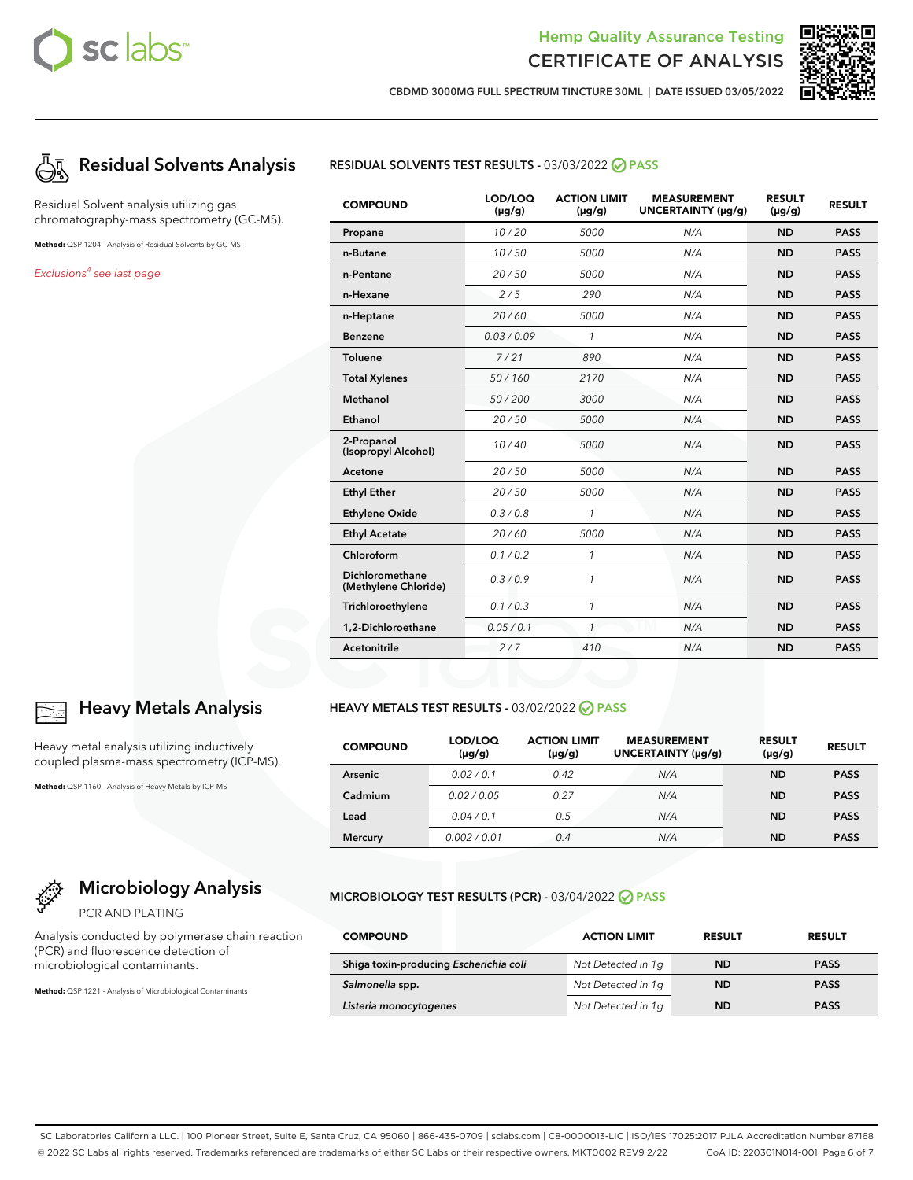



**CBDMD 3000MG FULL SPECTRUM TINCTURE 30ML | DATE ISSUED 03/05/2022**



Residual Solvent analysis utilizing gas chromatography-mass spectrometry (GC-MS).

**Method:** QSP 1204 - Analysis of Residual Solvents by GC-MS

Exclusions<sup>4</sup> see last page



#### **COMPOUND LOD/LOQ (μg/g) ACTION LIMIT (μg/g) MEASUREMENT UNCERTAINTY (μg/g) RESULT (μg/g) RESULT Propane** 10 / 20 5000 N/A **ND PASS n-Butane** 10 / 50 5000 N/A **ND PASS n-Pentane** 20 / 50 5000 N/A **ND PASS n-Hexane** 2 / 5 290 N/A **ND PASS n-Heptane** 20 / 60 5000 N/A **ND PASS Benzene** 0.03 / 0.09 1 N/A **ND PASS Toluene** 7 / 21 890 N/A **ND PASS Total Xylenes** 50 / 160 2170 N/A **ND PASS Methanol** 50 / 200 3000 N/A **ND PASS Ethanol** 20 / 50 5000 N/A **ND PASS 2-Propanol (Isopropyl Alcohol)** 10 / 40 <sup>5000</sup> N/A **ND PASS Acetone** 20 / 50 5000 N/A **ND PASS Ethyl Ether** 20 / 50 5000 N/A **ND PASS Ethylene Oxide** 0.3 / 0.8 1 N/A **ND PASS Ethyl Acetate** 20 / 60 5000 N/A **ND PASS Chloroform** 0.1 / 0.2 1 N/A **ND PASS Dichloromethane (Methylene Chloride)** 0.3 / 0.9 <sup>1</sup> N/A **ND PASS Trichloroethylene** 0.1 / 0.3 1 N/A **ND PASS 1,2-Dichloroethane** 0.05 / 0.1 1 N/A **ND PASS Acetonitrile** 2 / 7 410 N/A **ND PASS**

#### **HEAVY METALS TEST RESULTS - 03/02/2022 ⊘ PASS**

| <b>COMPOUND</b> | LOD/LOQ<br>$(\mu g/g)$ | <b>ACTION LIMIT</b><br>$(\mu g/g)$ | <b>MEASUREMENT</b><br>UNCERTAINTY (µg/g) | <b>RESULT</b><br>$(\mu g/g)$ | <b>RESULT</b> |
|-----------------|------------------------|------------------------------------|------------------------------------------|------------------------------|---------------|
| <b>Arsenic</b>  | 0.02/0.1               | 0.42                               | N/A                                      | <b>ND</b>                    | <b>PASS</b>   |
| Cadmium         | 0.02/0.05              | 0.27                               | N/A                                      | <b>ND</b>                    | <b>PASS</b>   |
| Lead            | 0.04/0.1               | 0.5                                | N/A                                      | <b>ND</b>                    | <b>PASS</b>   |
| <b>Mercury</b>  | 0.002/0.01             | 0.4                                | N/A                                      | ND                           | <b>PASS</b>   |

#### **MICROBIOLOGY TEST RESULTS (PCR) -** 03/04/2022 **PASS**

| <b>COMPOUND</b>                        | <b>ACTION LIMIT</b> | <b>RESULT</b> | <b>RESULT</b> |
|----------------------------------------|---------------------|---------------|---------------|
| Shiga toxin-producing Escherichia coli | Not Detected in 1g  | <b>ND</b>     | <b>PASS</b>   |
| Salmonella spp.                        | Not Detected in 1g  | <b>ND</b>     | <b>PASS</b>   |
| Listeria monocytogenes                 | Not Detected in 1g  | <b>ND</b>     | <b>PASS</b>   |



# **Heavy Metals Analysis**

Heavy metal analysis utilizing inductively coupled plasma-mass spectrometry (ICP-MS).

**Method:** QSP 1160 - Analysis of Heavy Metals by ICP-MS



PCR AND PLATING

Analysis conducted by polymerase chain reaction (PCR) and fluorescence detection of microbiological contaminants.

**Method:** QSP 1221 - Analysis of Microbiological Contaminants